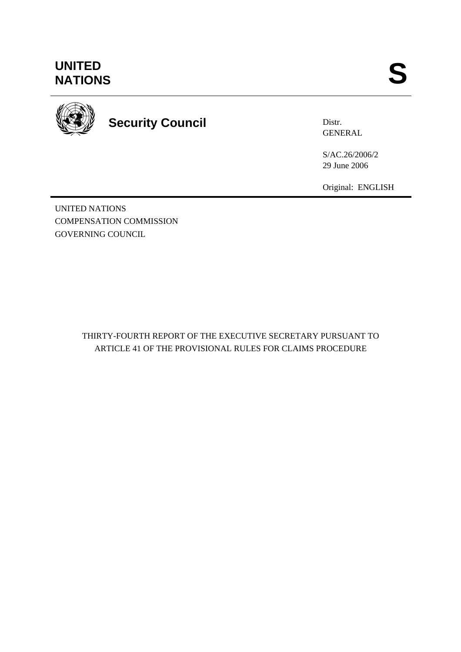## **UNITED<br>NATIONS** UNITED<br>NATIONS **S**



# **Security Council**

Distr. **GENERAL** 

S/AC.26/2006/2 29 June 2006

Original: ENGLISH

UNITED NATIONS COMPENSATION COMMISSION GOVERNING COUNCIL

> THIRTY-FOURTH REPORT OF THE EXECUTIVE SECRETARY PURSUANT TO ARTICLE 41 OF THE PROVISIONAL RULES FOR CLAIMS PROCEDURE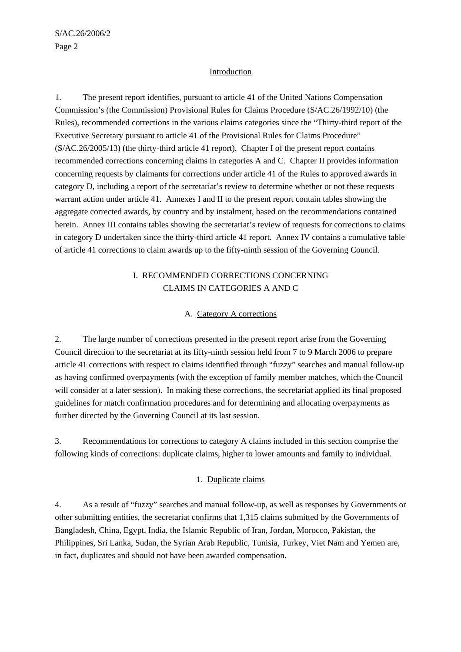#### **Introduction**

1. The present report identifies, pursuant to article 41 of the United Nations Compensation Commission's (the Commission) Provisional Rules for Claims Procedure (S/AC.26/1992/10) (the Rules), recommended corrections in the various claims categories since the "Thirty-third report of the Executive Secretary pursuant to article 41 of the Provisional Rules for Claims Procedure" (S/AC.26/2005/13) (the thirty-third article 41 report). Chapter I of the present report contains recommended corrections concerning claims in categories A and C. Chapter II provides information concerning requests by claimants for corrections under article 41 of the Rules to approved awards in category D, including a report of the secretariat's review to determine whether or not these requests warrant action under article 41. Annexes I and II to the present report contain tables showing the aggregate corrected awards, by country and by instalment, based on the recommendations contained herein. Annex III contains tables showing the secretariat's review of requests for corrections to claims in category D undertaken since the thirty-third article 41 report. Annex IV contains a cumulative table of article 41 corrections to claim awards up to the fifty-ninth session of the Governing Council.

#### I. RECOMMENDED CORRECTIONS CONCERNING CLAIMS IN CATEGORIES A AND C

#### A. Category A corrections

2. The large number of corrections presented in the present report arise from the Governing Council direction to the secretariat at its fifty-ninth session held from 7 to 9 March 2006 to prepare article 41 corrections with respect to claims identified through "fuzzy" searches and manual follow-up as having confirmed overpayments (with the exception of family member matches, which the Council will consider at a later session). In making these corrections, the secretariat applied its final proposed guidelines for match confirmation procedures and for determining and allocating overpayments as further directed by the Governing Council at its last session.

3. Recommendations for corrections to category A claims included in this section comprise the following kinds of corrections: duplicate claims, higher to lower amounts and family to individual.

#### 1. Duplicate claims

4. As a result of "fuzzy" searches and manual follow-up, as well as responses by Governments or other submitting entities, the secretariat confirms that 1,315 claims submitted by the Governments of Bangladesh, China, Egypt, India, the Islamic Republic of Iran, Jordan, Morocco, Pakistan, the Philippines, Sri Lanka, Sudan, the Syrian Arab Republic, Tunisia, Turkey, Viet Nam and Yemen are, in fact, duplicates and should not have been awarded compensation.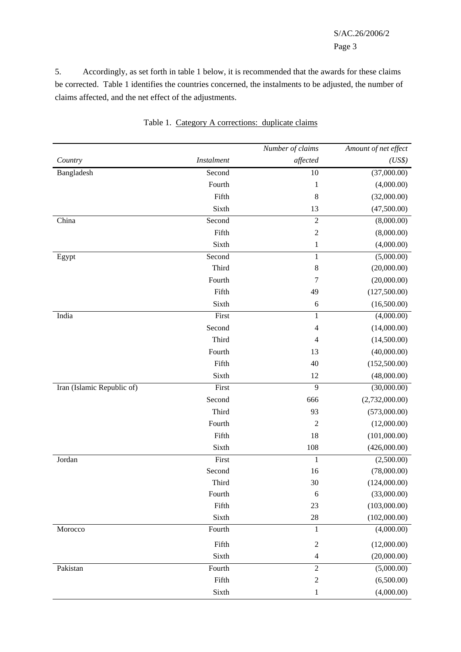#### S/AC.26/2006/2 Page 3

5. Accordingly, as set forth in table 1 below, it is recommended that the awards for these claims be corrected. Table 1 identifies the countries concerned, the instalments to be adjusted, the number of claims affected, and the net effect of the adjustments.

|                            |                   | Number of claims | Amount of net effect |
|----------------------------|-------------------|------------------|----------------------|
| Country                    | <b>Instalment</b> | affected         | (US\$)               |
| Bangladesh                 | Second            | 10               | (37,000.00)          |
|                            | Fourth            | $\mathbf{1}$     | (4,000.00)           |
|                            | Fifth             | 8                | (32,000.00)          |
|                            | Sixth             | 13               | (47,500.00)          |
| China                      | Second            | $\overline{2}$   | (8,000.00)           |
|                            | Fifth             | $\overline{2}$   | (8,000.00)           |
|                            | Sixth             | $\mathbf{1}$     | (4,000.00)           |
| Egypt                      | Second            | $\mathbf{1}$     | (5,000.00)           |
|                            | Third             | $\,$ 8 $\,$      | (20,000.00)          |
|                            | Fourth            | 7                | (20,000.00)          |
|                            | Fifth             | 49               | (127,500.00)         |
|                            | Sixth             | 6                | (16,500.00)          |
| India                      | First             | $\mathbf{1}$     | (4,000.00)           |
|                            | Second            | $\overline{4}$   | (14,000.00)          |
|                            | Third             | $\overline{4}$   | (14,500.00)          |
|                            | Fourth            | 13               | (40,000.00)          |
|                            | Fifth             | 40               | (152,500.00)         |
|                            | Sixth             | 12               | (48,000.00)          |
| Iran (Islamic Republic of) | First             | 9                | (30,000.00)          |
|                            | Second            | 666              | (2,732,000.00)       |
|                            | Third             | 93               | (573,000.00)         |
|                            | Fourth            | $\overline{c}$   | (12,000.00)          |
|                            | Fifth             | 18               | (101,000.00)         |
|                            | Sixth             | 108              | (426,000.00)         |
| Jordan                     | First             | $\mathbf{1}$     | (2,500.00)           |
|                            | Second            | 16               | (78,000.00)          |
|                            | Third             | 30               | (124,000.00)         |
|                            | Fourth            | 6                | (33,000.00)          |
|                            | Fifth             | 23               | (103,000.00)         |
|                            | Sixth             | 28               | (102,000.00)         |
| Morocco                    | Fourth            | $\mathbf{1}$     | (4,000.00)           |
|                            | Fifth             | $\sqrt{2}$       | (12,000.00)          |
|                            | Sixth             | $\overline{4}$   | (20,000.00)          |
| Pakistan                   | Fourth            | $\overline{2}$   | (5,000.00)           |
|                            | Fifth             | $\overline{2}$   | (6,500.00)           |
|                            | Sixth             | $\mathbf{1}$     | (4,000.00)           |
|                            |                   |                  |                      |

Table 1. Category A corrections: duplicate claims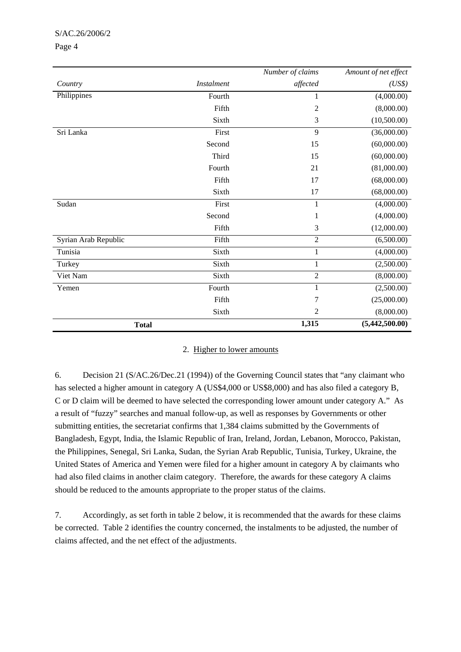#### S/AC.26/2006/2

#### Page 4

|                      |                   | Number of claims | Amount of net effect |
|----------------------|-------------------|------------------|----------------------|
| Country              | <b>Instalment</b> | affected         | (US\$)               |
| Philippines          | Fourth            | 1                | (4,000.00)           |
|                      | Fifth             | 2                | (8,000.00)           |
|                      | Sixth             | 3                | (10,500.00)          |
| Sri Lanka            | First             | 9                | (36,000.00)          |
|                      | Second            | 15               | (60,000.00)          |
|                      | Third             | 15               | (60,000.00)          |
|                      | Fourth            | 21               | (81,000.00)          |
|                      | Fifth             | 17               | (68,000.00)          |
|                      | Sixth             | 17               | (68,000.00)          |
| Sudan                | First             | 1                | (4,000.00)           |
|                      | Second            | 1                | (4,000.00)           |
|                      | Fifth             | 3                | (12,000.00)          |
| Syrian Arab Republic | Fifth             | $\overline{2}$   | (6,500.00)           |
| Tunisia              | Sixth             | $\mathbf{1}$     | (4,000.00)           |
| Turkey               | Sixth             | $\mathbf{1}$     | (2,500.00)           |
| Viet Nam             | Sixth             | $\overline{2}$   | (8,000.00)           |
| Yemen                | Fourth            | $\mathbf{1}$     | (2,500.00)           |
|                      | Fifth             | 7                | (25,000.00)          |
|                      | Sixth             | 2                | (8,000.00)           |
| <b>Total</b>         |                   | 1,315            | (5,442,500.00)       |

#### 2. Higher to lower amounts

6. Decision 21 (S/AC.26/Dec.21 (1994)) of the Governing Council states that "any claimant who has selected a higher amount in category A (US\$4,000 or US\$8,000) and has also filed a category B, C or D claim will be deemed to have selected the corresponding lower amount under category A." As a result of "fuzzy" searches and manual follow-up, as well as responses by Governments or other submitting entities, the secretariat confirms that 1,384 claims submitted by the Governments of Bangladesh, Egypt, India, the Islamic Republic of Iran, Ireland, Jordan, Lebanon, Morocco, Pakistan, the Philippines, Senegal, Sri Lanka, Sudan, the Syrian Arab Republic, Tunisia, Turkey, Ukraine, the United States of America and Yemen were filed for a higher amount in category A by claimants who had also filed claims in another claim category. Therefore, the awards for these category A claims should be reduced to the amounts appropriate to the proper status of the claims.

7. Accordingly, as set forth in table 2 below, it is recommended that the awards for these claims be corrected. Table 2 identifies the country concerned, the instalments to be adjusted, the number of claims affected, and the net effect of the adjustments.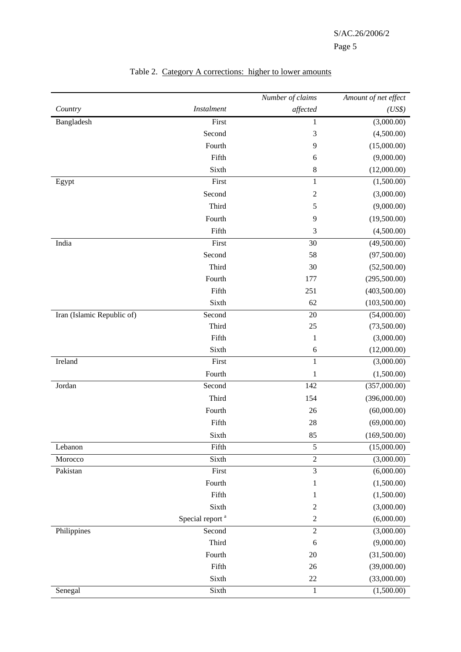|                            |                             | Number of claims | Amount of net effect |
|----------------------------|-----------------------------|------------------|----------------------|
| Country                    | <b>Instalment</b>           | affected         | (US\$)               |
| Bangladesh                 | First                       | 1                | (3,000.00)           |
|                            | Second                      | $\mathfrak{Z}$   | (4,500.00)           |
|                            | Fourth                      | 9                | (15,000.00)          |
|                            | Fifth                       | 6                | (9,000.00)           |
|                            | Sixth                       | $\,$ 8 $\,$      | (12,000.00)          |
| Egypt                      | First                       | 1                | (1,500.00)           |
|                            | Second                      | $\boldsymbol{2}$ | (3,000.00)           |
|                            | Third                       | $\sqrt{5}$       | (9,000.00)           |
|                            | Fourth                      | $\overline{9}$   | (19,500.00)          |
|                            | Fifth                       | $\mathfrak{Z}$   | (4,500.00)           |
| India                      | First                       | 30               | (49,500.00)          |
|                            | Second                      | 58               | (97,500.00)          |
|                            | Third                       | 30               | (52,500.00)          |
|                            | Fourth                      | 177              | (295,500.00)         |
|                            | Fifth                       | 251              | (403,500.00)         |
|                            | Sixth                       | 62               | (103,500.00)         |
| Iran (Islamic Republic of) | Second                      | 20               | (54,000.00)          |
|                            | Third                       | 25               | (73,500.00)          |
|                            | Fifth                       | $\mathbf{1}$     | (3,000.00)           |
|                            | Sixth                       | $\sqrt{6}$       | (12,000.00)          |
| Ireland                    | First                       | $\mathbf{1}$     | (3,000.00)           |
|                            | Fourth                      | 1                | (1,500.00)           |
| Jordan                     | Second                      | 142              | (357,000.00)         |
|                            | Third                       | 154              | (396,000.00)         |
|                            | Fourth                      | 26               | (60,000.00)          |
|                            | Fifth                       | 28               | (69,000.00)          |
|                            | Sixth                       | 85               | (169,500.00)         |
| Lebanon                    | Fifth                       | $\sqrt{5}$       | (15,000.00)          |
| Morocco                    | Sixth                       | $\overline{2}$   | (3,000.00)           |
| Pakistan                   | First                       | $\mathfrak{Z}$   | (6,000.00)           |
|                            | Fourth                      | $\mathbf{1}$     | (1,500.00)           |
|                            | Fifth                       | 1                | (1,500.00)           |
|                            | Sixth                       | $\overline{c}$   | (3,000.00)           |
|                            | Special report <sup>a</sup> | $\sqrt{2}$       | (6,000.00)           |
| Philippines                | Second                      | $\sqrt{2}$       | (3,000.00)           |
|                            | Third                       | $\sqrt{6}$       | (9,000.00)           |
|                            | Fourth                      | 20               | (31,500.00)          |
|                            | Fifth                       | 26               | (39,000.00)          |
|                            | Sixth                       | $22\,$           | (33,000.00)          |
| Senegal                    | Sixth                       | $\mathbf{1}$     | (1,500.00)           |

#### Table 2. Category A corrections: higher to lower amounts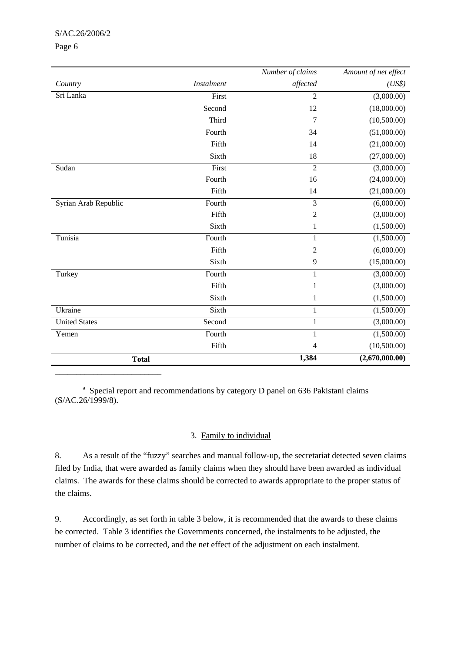#### S/AC.26/2006/2

#### Page 6

|                      |                   | Number of claims | Amount of net effect |
|----------------------|-------------------|------------------|----------------------|
| Country              | <b>Instalment</b> | affected         | (US\$)               |
| Sri Lanka            | First             | $\overline{2}$   | (3,000.00)           |
|                      | Second            | 12               | (18,000.00)          |
|                      | Third             | 7                | (10,500.00)          |
|                      | Fourth            | 34               | (51,000.00)          |
|                      | Fifth             | 14               | (21,000.00)          |
|                      | Sixth             | 18               | (27,000.00)          |
| Sudan                | First             | $\overline{2}$   | (3,000.00)           |
|                      | Fourth            | 16               | (24,000.00)          |
|                      | Fifth             | 14               | (21,000.00)          |
| Syrian Arab Republic | Fourth            | 3                | (6,000.00)           |
|                      | Fifth             | $\sqrt{2}$       | (3,000.00)           |
|                      | Sixth             | 1                | (1,500.00)           |
| Tunisia              | Fourth            | $\mathbf{1}$     | (1,500.00)           |
|                      | Fifth             | $\mathfrak 2$    | (6,000.00)           |
|                      | Sixth             | 9                | (15,000.00)          |
| Turkey               | Fourth            | $\mathbf{1}$     | (3,000.00)           |
|                      | Fifth             | $\mathbf{1}$     | (3,000.00)           |
|                      | Sixth             | $\mathbf{1}$     | (1,500.00)           |
| Ukraine              | Sixth             | $\mathbf{1}$     | (1,500.00)           |
| <b>United States</b> | Second            | $\mathbf{1}$     | (3,000.00)           |
| Yemen                | Fourth            | 1                | (1,500.00)           |
|                      | Fifth             | 4                | (10,500.00)          |
| <b>Total</b>         |                   | 1,384            | (2,670,000.00)       |
|                      |                   |                  |                      |

<sup>a</sup> Special report and recommendations by category D panel on 636 Pakistani claims (S/AC.26/1999/8).

#### 3. Family to individual

8. As a result of the "fuzzy" searches and manual follow-up, the secretariat detected seven claims filed by India, that were awarded as family claims when they should have been awarded as individual claims. The awards for these claims should be corrected to awards appropriate to the proper status of the claims.

9. Accordingly, as set forth in table 3 below, it is recommended that the awards to these claims be corrected. Table 3 identifies the Governments concerned, the instalments to be adjusted, the number of claims to be corrected, and the net effect of the adjustment on each instalment.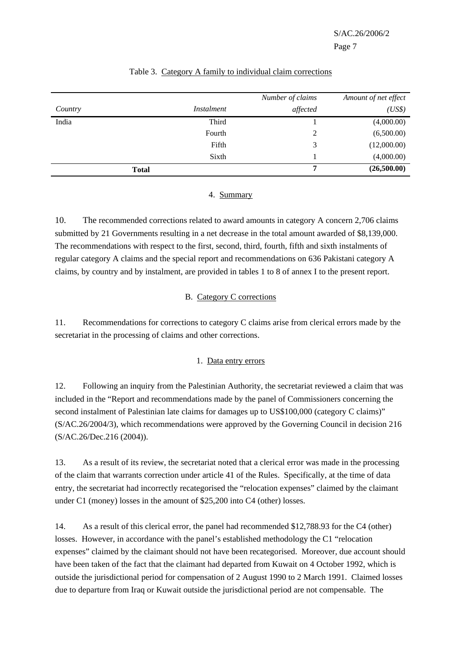|         |              | Number of claims | Amount of net effect |
|---------|--------------|------------------|----------------------|
| Country | Instalment   | affected         | (US\$)               |
| India   | Third        |                  | (4,000.00)           |
|         | Fourth       | 2                | (6,500.00)           |
|         | Fifth        | 3                | (12,000.00)          |
|         | Sixth        |                  | (4,000.00)           |
|         | <b>Total</b> | 7                | (26,500.00)          |

#### Table 3. Category A family to individual claim corrections

#### 4. Summary

10. The recommended corrections related to award amounts in category A concern 2,706 claims submitted by 21 Governments resulting in a net decrease in the total amount awarded of \$8,139,000. The recommendations with respect to the first, second, third, fourth, fifth and sixth instalments of regular category A claims and the special report and recommendations on 636 Pakistani category A claims, by country and by instalment, are provided in tables 1 to 8 of annex I to the present report.

#### B. Category C corrections

11. Recommendations for corrections to category C claims arise from clerical errors made by the secretariat in the processing of claims and other corrections.

#### 1. Data entry errors

12. Following an inquiry from the Palestinian Authority, the secretariat reviewed a claim that was included in the "Report and recommendations made by the panel of Commissioners concerning the second instalment of Palestinian late claims for damages up to US\$100,000 (category C claims)" (S/AC.26/2004/3), which recommendations were approved by the Governing Council in decision 216 (S/AC.26/Dec.216 (2004)).

13. As a result of its review, the secretariat noted that a clerical error was made in the processing of the claim that warrants correction under article 41 of the Rules. Specifically, at the time of data entry, the secretariat had incorrectly recategorised the "relocation expenses" claimed by the claimant under C1 (money) losses in the amount of \$25,200 into C4 (other) losses.

14. As a result of this clerical error, the panel had recommended \$12,788.93 for the C4 (other) losses. However, in accordance with the panel's established methodology the C1 "relocation expenses" claimed by the claimant should not have been recategorised. Moreover, due account should have been taken of the fact that the claimant had departed from Kuwait on 4 October 1992, which is outside the jurisdictional period for compensation of 2 August 1990 to 2 March 1991. Claimed losses due to departure from Iraq or Kuwait outside the jurisdictional period are not compensable. The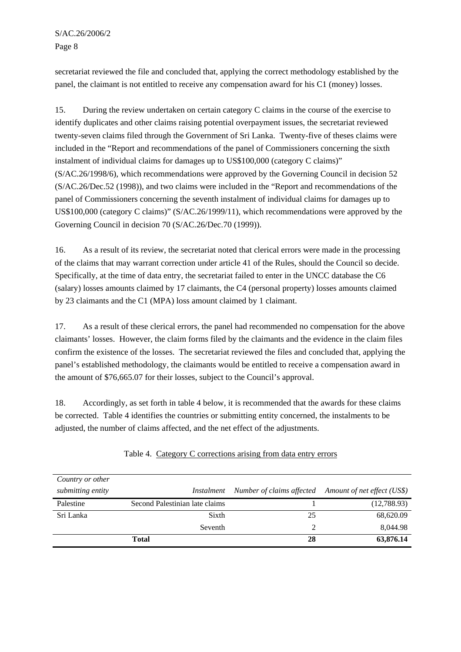S/AC.26/2006/2 Page 8

secretariat reviewed the file and concluded that, applying the correct methodology established by the panel, the claimant is not entitled to receive any compensation award for his C1 (money) losses.

15. During the review undertaken on certain category C claims in the course of the exercise to identify duplicates and other claims raising potential overpayment issues, the secretariat reviewed twenty-seven claims filed through the Government of Sri Lanka. Twenty-five of theses claims were included in the "Report and recommendations of the panel of Commissioners concerning the sixth instalment of individual claims for damages up to US\$100,000 (category C claims)" (S/AC.26/1998/6), which recommendations were approved by the Governing Council in decision 52 (S/AC.26/Dec.52 (1998)), and two claims were included in the "Report and recommendations of the panel of Commissioners concerning the seventh instalment of individual claims for damages up to US\$100,000 (category C claims)" (S/AC.26/1999/11), which recommendations were approved by the Governing Council in decision 70 (S/AC.26/Dec.70 (1999)).

16. As a result of its review, the secretariat noted that clerical errors were made in the processing of the claims that may warrant correction under article 41 of the Rules, should the Council so decide. Specifically, at the time of data entry, the secretariat failed to enter in the UNCC database the C6 (salary) losses amounts claimed by 17 claimants, the C4 (personal property) losses amounts claimed by 23 claimants and the C1 (MPA) loss amount claimed by 1 claimant.

17. As a result of these clerical errors, the panel had recommended no compensation for the above claimants' losses. However, the claim forms filed by the claimants and the evidence in the claim files confirm the existence of the losses. The secretariat reviewed the files and concluded that, applying the panel's established methodology, the claimants would be entitled to receive a compensation award in the amount of \$76,665.07 for their losses, subject to the Council's approval.

18. Accordingly, as set forth in table 4 below, it is recommended that the awards for these claims be corrected. Table 4 identifies the countries or submitting entity concerned, the instalments to be adjusted, the number of claims affected, and the net effect of the adjustments.

| Country or other  |                                |    |                                                       |
|-------------------|--------------------------------|----|-------------------------------------------------------|
| submitting entity | Instalment                     |    | Number of claims affected Amount of net effect (US\$) |
| Palestine         | Second Palestinian late claims |    | (12,788.93)                                           |
| Sri Lanka         | Sixth                          | 25 | 68,620.09                                             |
|                   | Seventh                        | 2  | 8,044.98                                              |
|                   | Total                          | 28 | 63,876.14                                             |

Table 4. Category C corrections arising from data entry errors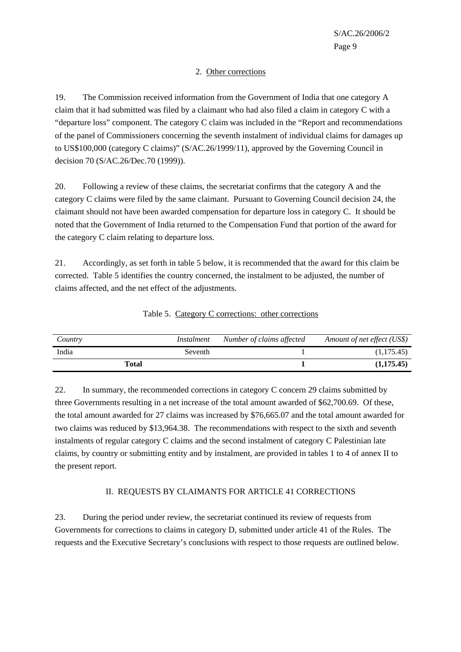#### 2. Other corrections

19. The Commission received information from the Government of India that one category A claim that it had submitted was filed by a claimant who had also filed a claim in category C with a "departure loss" component. The category C claim was included in the "Report and recommendations of the panel of Commissioners concerning the seventh instalment of individual claims for damages up to US\$100,000 (category C claims)" (S/AC.26/1999/11), approved by the Governing Council in decision 70 (S/AC.26/Dec.70 (1999)).

20. Following a review of these claims, the secretariat confirms that the category A and the category C claims were filed by the same claimant. Pursuant to Governing Council decision 24, the claimant should not have been awarded compensation for departure loss in category C. It should be noted that the Government of India returned to the Compensation Fund that portion of the award for the category C claim relating to departure loss.

21. Accordingly, as set forth in table 5 below, it is recommended that the award for this claim be corrected. Table 5 identifies the country concerned, the instalment to be adjusted, the number of claims affected, and the net effect of the adjustments.

| Country | Instalment | Number of claims affected | Amount of net effect (US\$) |
|---------|------------|---------------------------|-----------------------------|
| India   | Seventh    |                           | (1,175.45)                  |
|         | Total      |                           | (1,175.45)                  |

Table 5. Category C corrections: other corrections

22. In summary, the recommended corrections in category C concern 29 claims submitted by three Governments resulting in a net increase of the total amount awarded of \$62,700.69. Of these, the total amount awarded for 27 claims was increased by \$76,665.07 and the total amount awarded for two claims was reduced by \$13,964.38. The recommendations with respect to the sixth and seventh instalments of regular category C claims and the second instalment of category C Palestinian late claims, by country or submitting entity and by instalment, are provided in tables 1 to 4 of annex II to the present report.

#### II. REQUESTS BY CLAIMANTS FOR ARTICLE 41 CORRECTIONS

23. During the period under review, the secretariat continued its review of requests from Governments for corrections to claims in category D, submitted under article 41 of the Rules. The requests and the Executive Secretary's conclusions with respect to those requests are outlined below.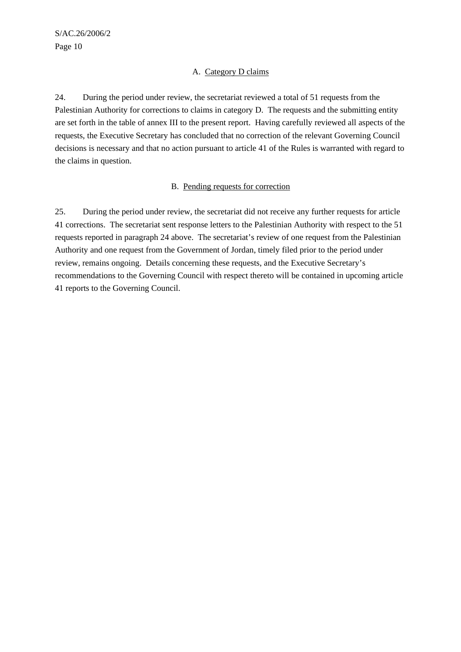#### A. Category D claims

24. During the period under review, the secretariat reviewed a total of 51 requests from the Palestinian Authority for corrections to claims in category D. The requests and the submitting entity are set forth in the table of annex III to the present report. Having carefully reviewed all aspects of the requests, the Executive Secretary has concluded that no correction of the relevant Governing Council decisions is necessary and that no action pursuant to article 41 of the Rules is warranted with regard to the claims in question.

#### B. Pending requests for correction

25. During the period under review, the secretariat did not receive any further requests for article 41 corrections. The secretariat sent response letters to the Palestinian Authority with respect to the 51 requests reported in paragraph 24 above. The secretariat's review of one request from the Palestinian Authority and one request from the Government of Jordan, timely filed prior to the period under review, remains ongoing. Details concerning these requests, and the Executive Secretary's recommendations to the Governing Council with respect thereto will be contained in upcoming article 41 reports to the Governing Council.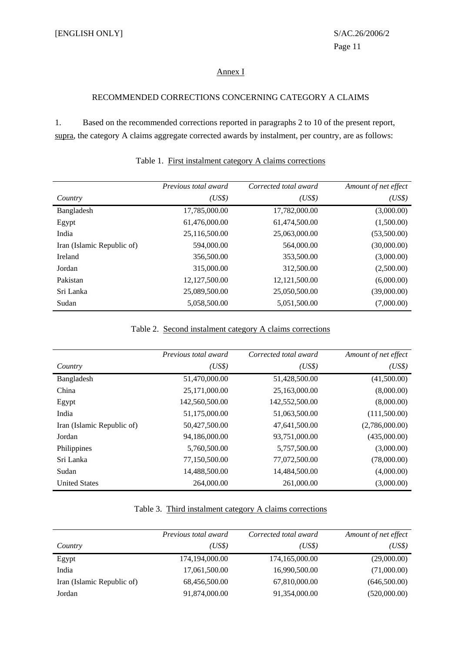#### Annex I

#### RECOMMENDED CORRECTIONS CONCERNING CATEGORY A CLAIMS

1. Based on the recommended corrections reported in paragraphs 2 to 10 of the present report, supra, the category A claims aggregate corrected awards by instalment, per country, are as follows:

|                            | Previous total award | Corrected total award | Amount of net effect |
|----------------------------|----------------------|-----------------------|----------------------|
| Country                    | (US\$)               | (US\$)                | (US\$)               |
| Bangladesh                 | 17,785,000.00        | 17,782,000.00         | (3,000.00)           |
| Egypt                      | 61,476,000.00        | 61,474,500.00         | (1,500.00)           |
| India                      | 25,116,500.00        | 25,063,000.00         | (53,500.00)          |
| Iran (Islamic Republic of) | 594,000.00           | 564,000.00            | (30,000.00)          |
| Ireland                    | 356,500.00           | 353,500.00            | (3,000.00)           |
| Jordan                     | 315,000.00           | 312,500.00            | (2,500.00)           |
| Pakistan                   | 12,127,500.00        | 12, 121, 500.00       | (6,000.00)           |
| Sri Lanka                  | 25,089,500.00        | 25,050,500.00         | (39,000.00)          |
| Sudan                      | 5,058,500.00         | 5,051,500.00          | (7,000.00)           |

#### Table 1. First instalment category A claims corrections

#### Table 2. Second instalment category A claims corrections

|                            | Previous total award | Corrected total award | Amount of net effect |
|----------------------------|----------------------|-----------------------|----------------------|
| Country                    | (US\$)               | (US\$)                | (US\$)               |
| Bangladesh                 | 51,470,000.00        | 51,428,500.00         | (41,500.00)          |
| China                      | 25,171,000.00        | 25,163,000.00         | (8,000.00)           |
| Egypt                      | 142,560,500.00       | 142,552,500.00        | (8,000.00)           |
| India                      | 51,175,000.00        | 51,063,500.00         | (111,500.00)         |
| Iran (Islamic Republic of) | 50,427,500.00        | 47,641,500.00         | (2,786,000.00)       |
| Jordan                     | 94,186,000.00        | 93,751,000.00         | (435,000.00)         |
| Philippines                | 5,760,500.00         | 5,757,500.00          | (3,000.00)           |
| Sri Lanka                  | 77,150,500.00        | 77,072,500.00         | (78,000.00)          |
| Sudan                      | 14,488,500.00        | 14,484,500.00         | (4,000.00)           |
| <b>United States</b>       | 264,000.00           | 261,000.00            | (3,000.00)           |

| Table 3. Third instalment category A claims corrections |  |  |
|---------------------------------------------------------|--|--|
|                                                         |  |  |

|                            | Previous total award | Corrected total award | Amount of net effect |
|----------------------------|----------------------|-----------------------|----------------------|
| Country                    | (US\$)               | (US\$)                | (US\$)               |
| Egypt                      | 174,194,000.00       | 174,165,000.00        | (29,000.00)          |
| India                      | 17,061,500.00        | 16,990,500.00         | (71,000.00)          |
| Iran (Islamic Republic of) | 68,456,500.00        | 67,810,000.00         | (646,500.00)         |
| Jordan                     | 91,874,000.00        | 91,354,000.00         | (520,000.00)         |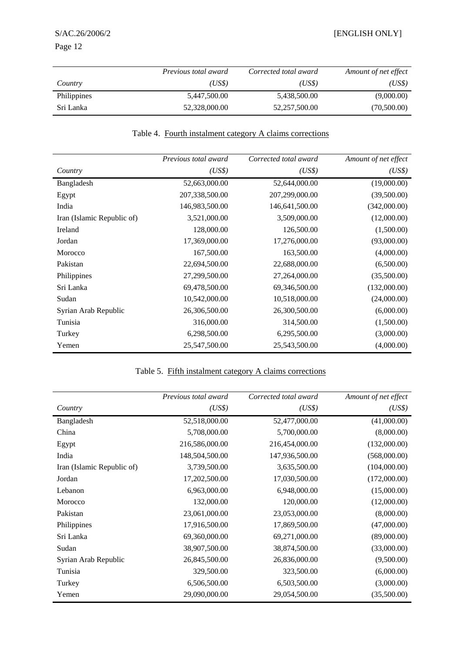|                    | <i>Previous total award</i> | Corrected total award | Amount of net effect |
|--------------------|-----------------------------|-----------------------|----------------------|
| Country            | (US\$)                      | (US\$)                | (US\$)               |
| <b>Philippines</b> | 5,447,500.00                | 5,438,500.00          | (9,000.00)           |
| Sri Lanka          | 52,328,000.00               | 52,257,500.00         | (70,500.00)          |

#### Table 4. Fourth instalment category A claims corrections

|                            | Previous total award | Corrected total award | Amount of net effect |
|----------------------------|----------------------|-----------------------|----------------------|
| Country                    | (US\$)               | (US\$)                | (US\$)               |
| Bangladesh                 | 52,663,000.00        | 52,644,000.00         | (19,000.00)          |
| Egypt                      | 207,338,500.00       | 207,299,000.00        | (39,500.00)          |
| India                      | 146,983,500.00       | 146,641,500.00        | (342,000.00)         |
| Iran (Islamic Republic of) | 3,521,000.00         | 3,509,000.00          | (12,000.00)          |
| Ireland                    | 128,000.00           | 126,500.00            | (1,500.00)           |
| Jordan                     | 17,369,000.00        | 17,276,000.00         | (93,000.00)          |
| Morocco                    | 167,500.00           | 163,500.00            | (4,000.00)           |
| Pakistan                   | 22,694,500.00        | 22,688,000.00         | (6,500.00)           |
| Philippines                | 27,299,500.00        | 27,264,000.00         | (35,500.00)          |
| Sri Lanka                  | 69,478,500.00        | 69,346,500.00         | (132,000.00)         |
| Sudan                      | 10,542,000.00        | 10,518,000.00         | (24,000.00)          |
| Syrian Arab Republic       | 26,306,500.00        | 26,300,500.00         | (6,000.00)           |
| Tunisia                    | 316,000.00           | 314,500.00            | (1,500.00)           |
| Turkey                     | 6,298,500.00         | 6,295,500.00          | (3,000.00)           |
| Yemen                      | 25,547,500.00        | 25,543,500.00         | (4,000.00)           |

### Table 5. Fifth instalment category A claims corrections

|                            | Previous total award | Corrected total award | Amount of net effect |
|----------------------------|----------------------|-----------------------|----------------------|
| Country                    | (US\$)               | (US\$)                | (US\$)               |
| Bangladesh                 | 52,518,000.00        | 52,477,000.00         | (41,000.00)          |
| China                      | 5,708,000.00         | 5,700,000.00          | (8,000.00)           |
| Egypt                      | 216,586,000.00       | 216,454,000.00        | (132,000.00)         |
| India                      | 148,504,500.00       | 147,936,500.00        | (568,000.00)         |
| Iran (Islamic Republic of) | 3,739,500.00         | 3,635,500.00          | (104,000.00)         |
| Jordan                     | 17,202,500.00        | 17,030,500.00         | (172,000.00)         |
| Lebanon                    | 6,963,000.00         | 6,948,000.00          | (15,000.00)          |
| Morocco                    | 132,000.00           | 120,000.00            | (12,000.00)          |
| Pakistan                   | 23,061,000.00        | 23,053,000.00         | (8,000.00)           |
| Philippines                | 17,916,500.00        | 17,869,500.00         | (47,000.00)          |
| Sri Lanka                  | 69,360,000.00        | 69,271,000.00         | (89,000.00)          |
| Sudan                      | 38,907,500.00        | 38,874,500.00         | (33,000.00)          |
| Syrian Arab Republic       | 26,845,500.00        | 26,836,000.00         | (9,500.00)           |
| Tunisia                    | 329,500.00           | 323,500.00            | (6,000.00)           |
| Turkey                     | 6,506,500.00         | 6,503,500.00          | (3,000.00)           |
| Yemen                      | 29,090,000.00        | 29,054,500.00         | (35,500.00)          |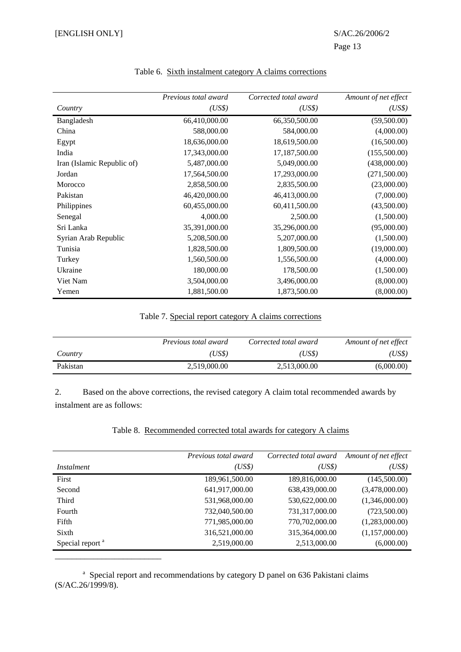|                            | Previous total award | Corrected total award | Amount of net effect |
|----------------------------|----------------------|-----------------------|----------------------|
| Country                    | (US\$)               | (US\$)                | (US\$)               |
| Bangladesh                 | 66,410,000.00        | 66,350,500.00         | (59,500.00)          |
| China                      | 588,000.00           | 584,000.00            | (4,000.00)           |
| Egypt                      | 18,636,000.00        | 18,619,500.00         | (16,500.00)          |
| India                      | 17,343,000.00        | 17,187,500.00         | (155,500.00)         |
| Iran (Islamic Republic of) | 5,487,000.00         | 5,049,000.00          | (438,000.00)         |
| Jordan                     | 17,564,500.00        | 17,293,000.00         | (271,500.00)         |
| Morocco                    | 2,858,500.00         | 2,835,500.00          | (23,000.00)          |
| Pakistan                   | 46,420,000.00        | 46,413,000.00         | (7,000.00)           |
| Philippines                | 60,455,000.00        | 60,411,500.00         | (43,500.00)          |
| Senegal                    | 4,000.00             | 2,500.00              | (1,500.00)           |
| Sri Lanka                  | 35,391,000.00        | 35,296,000.00         | (95,000.00)          |
| Syrian Arab Republic       | 5,208,500.00         | 5,207,000.00          | (1,500.00)           |
| Tunisia                    | 1,828,500.00         | 1,809,500.00          | (19,000.00)          |
| Turkey                     | 1,560,500.00         | 1,556,500.00          | (4,000.00)           |
| Ukraine                    | 180,000.00           | 178,500.00            | (1,500.00)           |
| Viet Nam                   | 3,504,000.00         | 3,496,000.00          | (8,000.00)           |
| Yemen                      | 1,881,500.00         | 1,873,500.00          | (8,000.00)           |

#### Table 6. Sixth instalment category A claims corrections

Page 13

#### Table 7. Special report category A claims corrections

|          | <i>Previous total award</i> | Corrected total award | Amount of net effect |
|----------|-----------------------------|-----------------------|----------------------|
| Country  | (US\$)                      | (US\$)                | (US\$)               |
| Pakistan | 2,519,000.00                | 2,513,000.00          | (6,000.00)           |

2. Based on the above corrections, the revised category A claim total recommended awards by instalment are as follows:

#### Table 8. Recommended corrected total awards for category A claims

|                             | <i>Previous total award</i> | Corrected total award | Amount of net effect |
|-----------------------------|-----------------------------|-----------------------|----------------------|
| <i>Instalment</i>           | (US\$)                      | (US\$)                | (US\$)               |
| First                       | 189,961,500.00              | 189,816,000.00        | (145,500.00)         |
| Second                      | 641,917,000.00              | 638,439,000.00        | (3,478,000.00)       |
| Third                       | 531,968,000.00              | 530,622,000.00        | (1,346,000.00)       |
| Fourth                      | 732,040,500.00              | 731,317,000.00        | (723,500.00)         |
| Fifth                       | 771,985,000.00              | 770,702,000.00        | (1,283,000.00)       |
| Sixth                       | 316,521,000.00              | 315,364,000.00        | (1,157,000.00)       |
| Special report <sup>a</sup> | 2,519,000.00                | 2,513,000.00          | (6,000.00)           |

<sup>a</sup> Special report and recommendations by category D panel on 636 Pakistani claims (S/AC.26/1999/8).

\_\_\_\_\_\_\_\_\_\_\_\_\_\_\_\_\_\_\_\_\_\_\_\_\_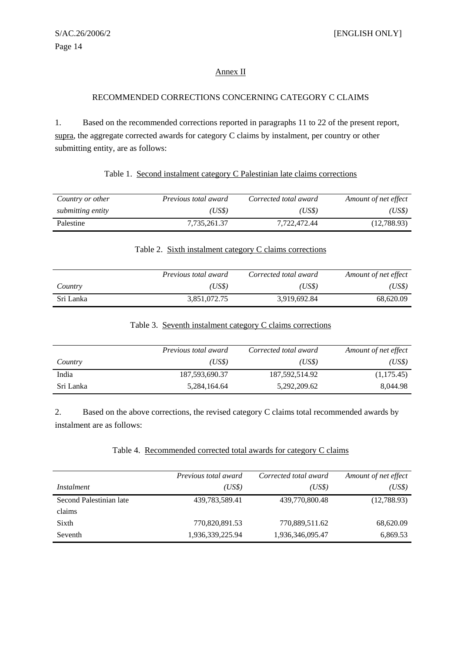#### Annex II

#### RECOMMENDED CORRECTIONS CONCERNING CATEGORY C CLAIMS

1. Based on the recommended corrections reported in paragraphs 11 to 22 of the present report, supra, the aggregate corrected awards for category C claims by instalment, per country or other submitting entity, are as follows:

|--|

| Country or other  | Previous total award | Corrected total award | Amount of net effect |
|-------------------|----------------------|-----------------------|----------------------|
| submitting entity | (US\$)               | (USS)                 | (US\$)               |
| Palestine         | 7.735.261.37         | 7.722.472.44          | (12,788.93)          |

#### Table 2. Sixth instalment category C claims corrections

|           | <i>Previous total award</i> | Corrected total award | Amount of net effect |
|-----------|-----------------------------|-----------------------|----------------------|
| Country   | US\$)                       | (US\$)                | (US\$)               |
| Sri Lanka | 3,851,072.75                | 3,919,692.84          | 68.620.09            |

#### Table 3. Seventh instalment category C claims corrections

|           | Previous total award | Corrected total award | Amount of net effect |
|-----------|----------------------|-----------------------|----------------------|
| Country   | (US\$)               | (USS)                 | (US\$)               |
| India     | 187,593,690.37       | 187,592,514.92        | (1,175.45)           |
| Sri Lanka | 5,284,164.64         | 5,292,209.62          | 8,044.98             |

2. Based on the above corrections, the revised category C claims total recommended awards by instalment are as follows:

#### Table 4. Recommended corrected total awards for category C claims

|                         | Previous total award | Corrected total award | Amount of net effect |
|-------------------------|----------------------|-----------------------|----------------------|
| Instalment              | (US\$)               | (US\$)                | (US\$)               |
| Second Palestinian late | 439,783,589.41       | 439,770,800.48        | (12,788.93)          |
| claims                  |                      |                       |                      |
| Sixth                   | 770,820,891.53       | 770,889,511.62        | 68,620.09            |
| Seventh                 | 1,936,339,225.94     | 1,936,346,095.47      | 6,869.53             |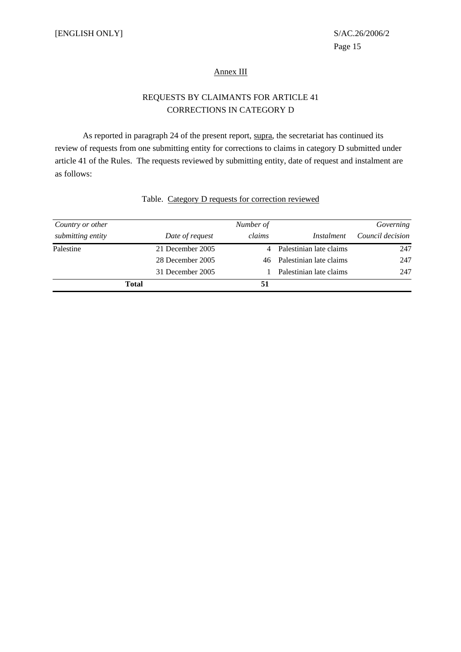#### Annex III

#### REQUESTS BY CLAIMANTS FOR ARTICLE 41 CORRECTIONS IN CATEGORY D

As reported in paragraph 24 of the present report, supra, the secretariat has continued its review of requests from one submitting entity for corrections to claims in category D submitted under article 41 of the Rules. The requests reviewed by submitting entity, date of request and instalment are as follows:

| Country or other  |                  | Number of |                            | Governing        |
|-------------------|------------------|-----------|----------------------------|------------------|
| submitting entity | Date of request  | claims    | Instalment                 | Council decision |
| Palestine         | 21 December 2005 |           | 4 Palestinian late claims  | 247              |
|                   | 28 December 2005 |           | 46 Palestinian late claims | 247              |
|                   | 31 December 2005 |           | Palestinian late claims    | 247              |
|                   | <b>Total</b>     | 51        |                            |                  |

#### Table. Category D requests for correction reviewed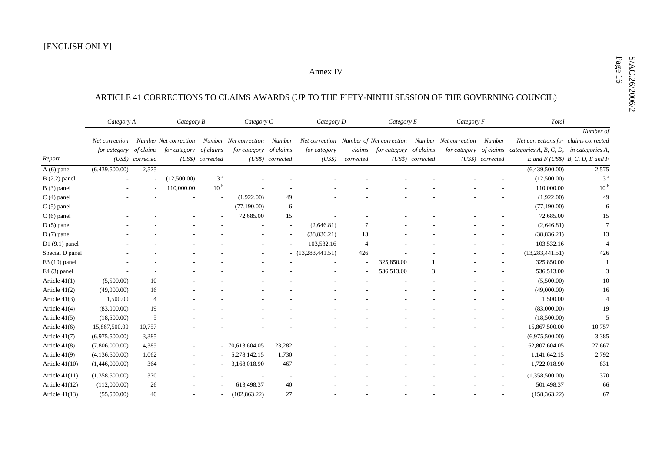# Annex IV<br>ARTICLE 41 CORRECTIONS TO CLAIMS AWARDS (UP TO THE FIFTY-NINTH SESSION OF THE GOVERNING COUNCIL)

|                  | Category A     |                  | Category B            |                  | Category C            |                  | Category D                              |                | Category E   |                  | Category F            |                  | Total                                             |                                        |
|------------------|----------------|------------------|-----------------------|------------------|-----------------------|------------------|-----------------------------------------|----------------|--------------|------------------|-----------------------|------------------|---------------------------------------------------|----------------------------------------|
|                  |                |                  |                       |                  |                       |                  |                                         |                |              |                  |                       |                  |                                                   | Number of                              |
|                  | Net correction |                  | Number Net correction |                  | Number Net correction | Number           | Net correction Number of Net correction |                |              |                  | Number Net correction | Number           | Net corrections for claims corrected              |                                        |
|                  | for category   | of claims        | <i>for category</i>   | of claims        | for category          | of claims        | for category                            | claims         | for category | of claims        | for category          | of claims        | categories $A, B, C, D, \quad$ in categories $A,$ |                                        |
| Report           |                | (US\$) corrected |                       | (US\$) corrected |                       | (US\$) corrected | (US\$)                                  | corrected      |              | (US\$) corrected |                       | (US\$) corrected |                                                   | $E$ and $F$ (US\$) $B$ , C, D, E and F |
| $A(6)$ panel     | (6,439,500.00) | 2,575            |                       |                  |                       |                  |                                         |                |              |                  |                       |                  | (6,439,500.00)                                    | 2,575                                  |
| $B(2.2)$ panel   |                |                  | (12,500.00)           | 3 <sup>a</sup>   |                       |                  |                                         |                |              |                  |                       |                  | (12,500.00)                                       | 3 <sup>a</sup>                         |
| $B(3)$ panel     |                |                  | 110,000.00            | 10 <sup>b</sup>  |                       |                  |                                         |                |              |                  |                       |                  | 110,000.00                                        | 10 <sup>b</sup>                        |
| $C(4)$ panel     |                |                  |                       |                  | (1,922.00)            | 49               |                                         |                |              |                  |                       |                  | (1,922.00)                                        | 49                                     |
| $C(5)$ panel     |                |                  |                       |                  | (77, 190.00)          | 6                |                                         |                |              |                  |                       |                  | (77, 190.00)                                      | 6                                      |
| $C(6)$ panel     |                |                  |                       |                  | 72,685.00             | 15               |                                         |                |              |                  |                       |                  | 72,685.00                                         | 15                                     |
| $D(5)$ panel     |                |                  |                       |                  |                       |                  | (2,646.81)                              | 7              |              |                  |                       |                  | (2,646.81)                                        |                                        |
| $D(7)$ panel     |                |                  |                       |                  |                       |                  | (38, 836.21)                            | 13             |              |                  |                       |                  | (38, 836.21)                                      | 13                                     |
| $D1(9.1)$ panel  |                |                  |                       |                  |                       |                  | 103,532.16                              | $\overline{4}$ |              |                  |                       |                  | 103,532.16                                        |                                        |
| Special D panel  |                |                  |                       |                  |                       |                  | $-$ (13,283,441.51)                     | 426            |              |                  |                       |                  | (13, 283, 441.51)                                 | 426                                    |
| $E3(10)$ panel   |                |                  |                       |                  |                       |                  |                                         |                | 325,850.00   |                  |                       |                  | 325,850.00                                        |                                        |
| $E4(3)$ panel    |                |                  |                       |                  |                       |                  |                                         |                | 536,513.00   | 3                |                       |                  | 536,513.00                                        |                                        |
| Article $41(1)$  | (5,500.00)     | 10               |                       |                  |                       |                  |                                         |                |              |                  |                       |                  | (5,500.00)                                        | 10                                     |
| Article $41(2)$  | (49,000.00)    | 16               |                       |                  |                       |                  |                                         |                |              |                  |                       |                  | (49,000.00)                                       | 16                                     |
| Article $41(3)$  | 1,500.00       | 4                |                       |                  |                       |                  |                                         |                |              |                  |                       |                  | 1,500.00                                          |                                        |
| Article $41(4)$  | (83,000.00)    | 19               |                       |                  |                       |                  |                                         |                |              |                  |                       |                  | (83,000.00)                                       | 19                                     |
| Article $41(5)$  | (18,500.00)    | 5                |                       |                  |                       |                  |                                         |                |              |                  |                       |                  | (18,500.00)                                       | 5                                      |
| Article $41(6)$  | 15,867,500.00  | 10,757           |                       |                  |                       |                  |                                         |                |              |                  |                       |                  | 15,867,500.00                                     | 10,757                                 |
| Article $41(7)$  | (6,975,500.00) | 3,385            |                       |                  |                       |                  |                                         |                |              |                  |                       |                  | (6,975,500.00)                                    | 3,385                                  |
| Article 41(8)    | (7,806,000.00) | 4,385            |                       |                  | 70,613,604.05         | 23,282           |                                         |                |              |                  |                       |                  | 62,807,604.05                                     | 27,667                                 |
| Article $41(9)$  | (4,136,500.00) | 1,062            |                       |                  | 5,278,142.15          | 1,730            |                                         |                |              |                  |                       |                  | 1,141,642.15                                      | 2,792                                  |
| Article $41(10)$ | (1,446,000.00) | 364              |                       |                  | 3,168,018.90          | 467              |                                         |                |              |                  |                       |                  | 1,722,018.90                                      | 831                                    |
| Article $41(11)$ | (1,358,500.00) | 370              |                       |                  |                       |                  |                                         |                |              |                  |                       |                  | (1,358,500.00)                                    | 370                                    |
| Article $41(12)$ | (112,000.00)   | 26               |                       |                  | 613,498.37            | 40               |                                         |                |              |                  |                       |                  | 501,498.37                                        | 66                                     |
| Article $41(13)$ | (55,500.00)    | 40               |                       |                  | (102, 863.22)         | 27               |                                         |                |              |                  |                       |                  | (158, 363.22)                                     | 67                                     |